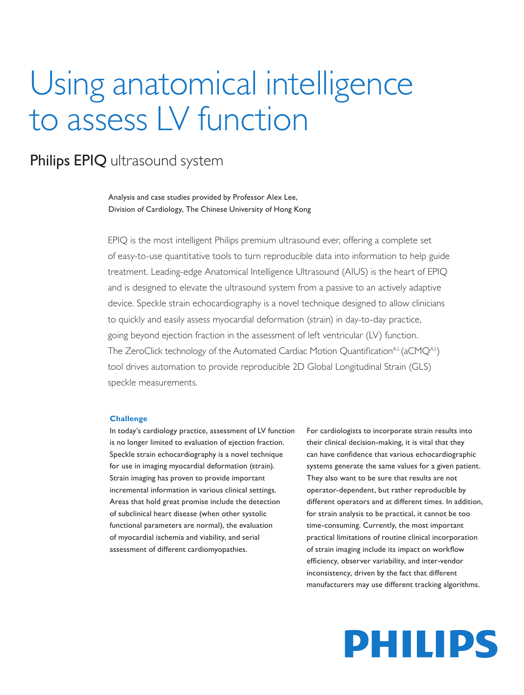## Using anatomical intelligence to assess LV function

### Philips EPIQ ultrasound system

Analysis and case studies provided by Professor Alex Lee, Division of Cardiology, The Chinese University of Hong Kong

EPIQ is the most intelligent Philips premium ultrasound ever, offering a complete set of easy-to-use quantitative tools to turn reproducible data into information to help guide treatment. Leading-edge Anatomical Intelligence Ultrasound (AIUS) is the heart of EPIQ and is designed to elevate the ultrasound system from a passive to an actively adaptive device. Speckle strain echocardiography is a novel technique designed to allow clinicians to quickly and easily assess myocardial deformation (strain) in day-to-day practice, going beyond ejection fraction in the assessment of left ventricular (LV) function. The ZeroClick technology of the Automated Cardiac Motion Quantification<sup>AI</sup> (aCMQ<sup>AI.</sup>) tool drives automation to provide reproducible 2D Global Longitudinal Strain (GLS) speckle measurements.

#### **Challenge**

In today's cardiology practice, assessment of LV function is no longer limited to evaluation of ejection fraction. Speckle strain echocardiography is a novel technique for use in imaging myocardial deformation (strain). Strain imaging has proven to provide important incremental information in various clinical settings. Areas that hold great promise include the detection of subclinical heart disease (when other systolic functional parameters are normal), the evaluation of myocardial ischemia and viability, and serial assessment of different cardiomyopathies.

For cardiologists to incorporate strain results into their clinical decision-making, it is vital that they can have confidence that various echocardiographic systems generate the same values for a given patient. They also want to be sure that results are not operator-dependent, but rather reproducible by different operators and at different times. In addition, for strain analysis to be practical, it cannot be too time-consuming. Currently, the most important practical limitations of routine clinical incorporation of strain imaging include its impact on workflow efficiency, observer variability, and inter-vendor inconsistency, driven by the fact that different manufacturers may use different tracking algorithms.

# PHILIPS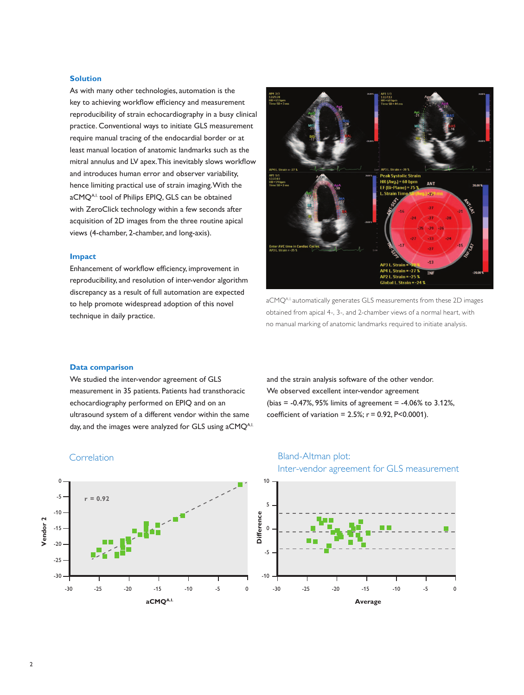#### **Solution**

As with many other technologies, automation is the key to achieving workflow efficiency and measurement reproducibility of strain echocardiography in a busy clinical practice. Conventional ways to initiate GLS measurement require manual tracing of the endocardial border or at least manual location of anatomic landmarks such as the mitral annulus and LV apex. This inevitably slows workflow and introduces human error and observer variability, hence limiting practical use of strain imaging. With the aCMQA.I. tool of Philips EPIQ, GLS can be obtained with ZeroClick technology within a few seconds after acquisition of 2D images from the three routine apical views (4-chamber, 2-chamber, and long-axis).

#### **Impact**

Enhancement of workflow efficiency, improvement in reproducibility, and resolution of inter-vendor algorithm discrepancy as a result of full automation are expected to help promote widespread adoption of this novel technique in daily practice.



aCMQA.I. automatically generates GLS measurements from these 2D images obtained from apical 4-, 3-, and 2-chamber views of a normal heart, with no manual marking of anatomic landmarks required to initiate analysis.

#### **Data comparison**

We studied the inter-vendor agreement of GLS measurement in 35 patients. Patients had transthoracic echocardiography performed on EPIQ and on an ultrasound system of a different vendor within the same day, and the images were analyzed for GLS using aCMQA.I. and the strain analysis software of the other vendor. We observed excellent inter-vendor agreement (bias = -0.47%, 95% limits of agreement = -4.06% to 3.12%, coefficient of variation =  $2.5\%$ ;  $r = 0.92$ ,  $P < 0.0001$ ).



### Correlation **Bland-Altman plot:**

10

Inter-vendor agreement for GLS measurement

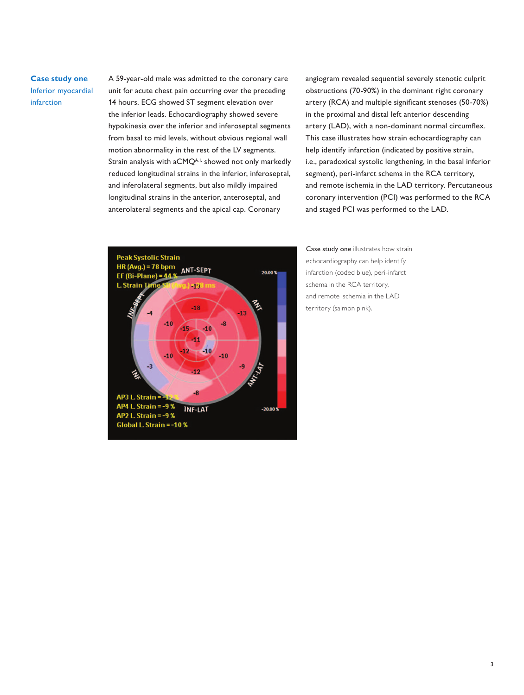**Case study one** Inferior myocardial infarction

A 59-year-old male was admitted to the coronary care unit for acute chest pain occurring over the preceding 14 hours. ECG showed ST segment elevation over the inferior leads. Echocardiography showed severe hypokinesia over the inferior and inferoseptal segments from basal to mid levels, without obvious regional wall motion abnormality in the rest of the LV segments. Strain analysis with aCMQA.<sup>1</sup>. showed not only markedly reduced longitudinal strains in the inferior, inferoseptal, and inferolateral segments, but also mildly impaired longitudinal strains in the anterior, anteroseptal, and anterolateral segments and the apical cap. Coronary

angiogram revealed sequential severely stenotic culprit obstructions (70-90%) in the dominant right coronary artery (RCA) and multiple significant stenoses (50-70%) in the proximal and distal left anterior descending artery (LAD), with a non-dominant normal circumflex. This case illustrates how strain echocardiography can help identify infarction (indicated by positive strain, i.e., paradoxical systolic lengthening, in the basal inferior segment), peri-infarct schema in the RCA territory, and remote ischemia in the LAD territory. Percutaneous coronary intervention (PCI) was performed to the RCA and staged PCI was performed to the LAD.



Case study one illustrates how strain echocardiography can help identify infarction (coded blue), peri-infarct schema in the RCA territory, and remote ischemia in the LAD territory (salmon pink).